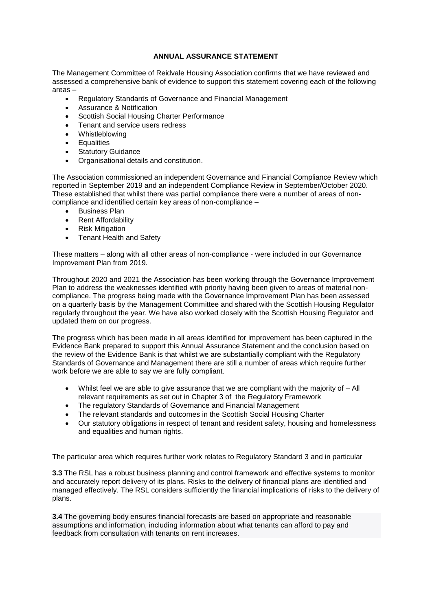## **ANNUAL ASSURANCE STATEMENT**

The Management Committee of Reidvale Housing Association confirms that we have reviewed and assessed a comprehensive bank of evidence to support this statement covering each of the following areas –

- Regulatory Standards of Governance and Financial Management
- Assurance & Notification
- Scottish Social Housing Charter Performance
- Tenant and service users redress
- Whistleblowing
- **•** Equalities
- Statutory Guidance
- Organisational details and constitution.

The Association commissioned an independent Governance and Financial Compliance Review which reported in September 2019 and an independent Compliance Review in September/October 2020. These established that whilst there was partial compliance there were a number of areas of noncompliance and identified certain key areas of non-compliance –

- Business Plan
- Rent Affordability
- Risk Mitigation
- Tenant Health and Safety

These matters – along with all other areas of non-compliance - were included in our Governance Improvement Plan from 2019.

Throughout 2020 and 2021 the Association has been working through the Governance Improvement Plan to address the weaknesses identified with priority having been given to areas of material noncompliance. The progress being made with the Governance Improvement Plan has been assessed on a quarterly basis by the Management Committee and shared with the Scottish Housing Regulator regularly throughout the year. We have also worked closely with the Scottish Housing Regulator and updated them on our progress.

The progress which has been made in all areas identified for improvement has been captured in the Evidence Bank prepared to support this Annual Assurance Statement and the conclusion based on the review of the Evidence Bank is that whilst we are substantially compliant with the Regulatory Standards of Governance and Management there are still a number of areas which require further work before we are able to say we are fully compliant.

- $\bullet$  Whilst feel we are able to give assurance that we are compliant with the majority of  $-A$ ll relevant requirements as set out in Chapter 3 of the Regulatory Framework
- The regulatory Standards of Governance and Financial Management
- The relevant standards and outcomes in the Scottish Social Housing Charter
- Our statutory obligations in respect of tenant and resident safety, housing and homelessness and equalities and human rights.

The particular area which requires further work relates to Regulatory Standard 3 and in particular

**3.3** The RSL has a robust business planning and control framework and effective systems to monitor and accurately report delivery of its plans. Risks to the delivery of financial plans are identified and managed effectively. The RSL considers sufficiently the financial implications of risks to the delivery of plans.

**3.4** The governing body ensures financial forecasts are based on appropriate and reasonable assumptions and information, including information about what tenants can afford to pay and feedback from consultation with tenants on rent increases.